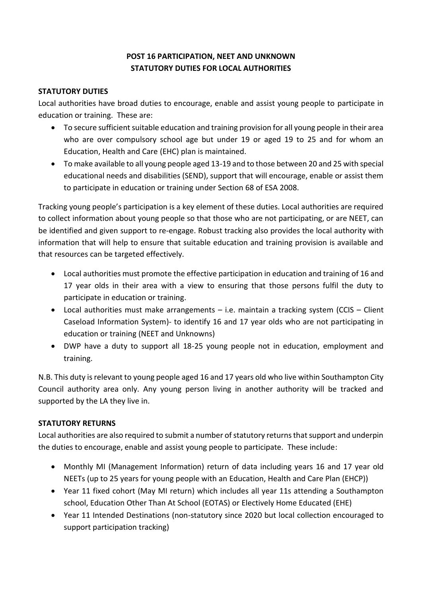# **POST 16 PARTICIPATION, NEET AND UNKNOWN STATUTORY DUTIES FOR LOCAL AUTHORITIES**

## **STATUTORY DUTIES**

Local authorities have broad duties to encourage, enable and assist young people to participate in education or training. These are:

- To secure sufficient suitable education and training provision for all young people in their area who are over compulsory school age but under 19 or aged 19 to 25 and for whom an Education, Health and Care (EHC) plan is maintained.
- To make available to all young people aged 13-19 and to those between 20 and 25 with special educational needs and disabilities (SEND), support that will encourage, enable or assist them to participate in education or training under Section 68 of ESA 2008.

Tracking young people's participation is a key element of these duties. Local authorities are required to collect information about young people so that those who are not participating, or are NEET, can be identified and given support to re-engage. Robust tracking also provides the local authority with information that will help to ensure that suitable education and training provision is available and that resources can be targeted effectively.

- Local authorities must promote the effective participation in education and training of 16 and 17 year olds in their area with a view to ensuring that those persons fulfil the duty to participate in education or training.
- Local authorities must make arrangements i.e. maintain a tracking system (CCIS Client Caseload Information System)- to identify 16 and 17 year olds who are not participating in education or training (NEET and Unknowns)
- DWP have a duty to support all 18-25 young people not in education, employment and training.

N.B. This duty is relevant to young people aged 16 and 17 years old who live within Southampton City Council authority area only. Any young person living in another authority will be tracked and supported by the LA they live in.

# **STATUTORY RETURNS**

Local authorities are also required to submit a number of statutory returns that support and underpin the duties to encourage, enable and assist young people to participate. These include:

- Monthly MI (Management Information) return of data including years 16 and 17 year old NEETs (up to 25 years for young people with an Education, Health and Care Plan (EHCP))
- Year 11 fixed cohort (May MI return) which includes all year 11s attending a Southampton school, Education Other Than At School (EOTAS) or Electively Home Educated (EHE)
- Year 11 Intended Destinations (non-statutory since 2020 but local collection encouraged to support participation tracking)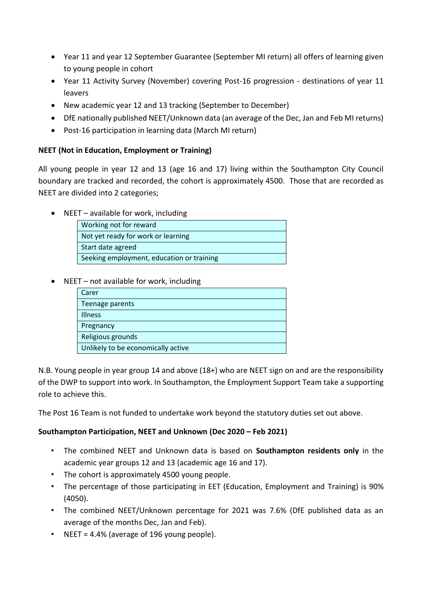- Year 11 and year 12 September Guarantee (September MI return) all offers of learning given to young people in cohort
- Year 11 Activity Survey (November) covering Post-16 progression destinations of year 11 leavers
- New academic year 12 and 13 tracking (September to December)
- DfE nationally published NEET/Unknown data (an average of the Dec, Jan and Feb MI returns)
- Post-16 participation in learning data (March MI return)

## **NEET (Not in Education, Employment or Training)**

All young people in year 12 and 13 (age 16 and 17) living within the Southampton City Council boundary are tracked and recorded, the cohort is approximately 4500. Those that are recorded as NEET are divided into 2 categories;

 $\bullet$  NEET – available for work, including

|                                           | Working not for reward |  |
|-------------------------------------------|------------------------|--|
| Not yet ready for work or learning        |                        |  |
|                                           | Start date agreed      |  |
| Seeking employment, education or training |                        |  |

 $\bullet$  NEET – not available for work, including

| Carer                              |
|------------------------------------|
| Teenage parents                    |
| <b>Illness</b>                     |
| Pregnancy                          |
| Religious grounds                  |
| Unlikely to be economically active |

N.B. Young people in year group 14 and above (18+) who are NEET sign on and are the responsibility of the DWP to support into work. In Southampton, the Employment Support Team take a supporting role to achieve this.

The Post 16 Team is not funded to undertake work beyond the statutory duties set out above.

# **Southampton Participation, NEET and Unknown (Dec 2020 – Feb 2021)**

- The combined NEET and Unknown data is based on **Southampton residents only** in the academic year groups 12 and 13 (academic age 16 and 17).
- The cohort is approximately 4500 young people.
- The percentage of those participating in EET (Education, Employment and Training) is 90% (4050).
- The combined NEET/Unknown percentage for 2021 was 7.6% (DfE published data as an average of the months Dec, Jan and Feb).
- NEET = 4.4% (average of 196 young people).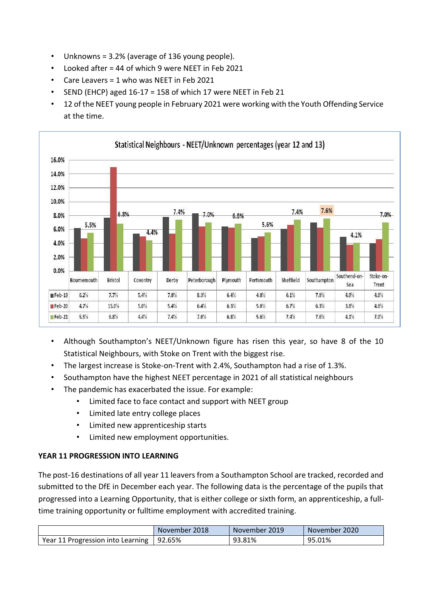- Unknowns = 3.2% (average of 136 young people).
- Looked after = 44 of which 9 were NEET in Feb 2021
- Care Leavers = 1 who was NEET in Feb 2021
- SEND (EHCP) aged 16-17 = 158 of which 17 were NEET in Feb 21
- 12 of the NEET young people in February 2021 were working with the Youth Offending Service at the time.



- Although Southampton's NEET/Unknown figure has risen this year, so have 8 of the 10 Statistical Neighbours, with Stoke on Trent with the biggest rise.
- The largest increase is Stoke-on-Trent with 2.4%, Southampton had a rise of 1.3%.
- Southampton have the highest NEET percentage in 2021 of all statistical neighbours
- The pandemic has exacerbated the issue. For example:
	- Limited face to face contact and support with NEET group
	- Limited late entry college places
	- Limited new apprenticeship starts
	- Limited new employment opportunities.

### **YEAR 11 PROGRESSION INTO LEARNING**

The post-16 destinations of all year 11 leavers from a Southampton School are tracked, recorded and submitted to the DfE in December each year. The following data is the percentage of the pupils that progressed into a Learning Opportunity, that is either college or sixth form, an apprenticeship, a fulltime training opportunity or fulltime employment with accredited training.

|                                            | November 2018 | November 2019 | November 2020 |
|--------------------------------------------|---------------|---------------|---------------|
| Year 11 Progression into Learning   92.65% |               | 93.81%        | 95.01%        |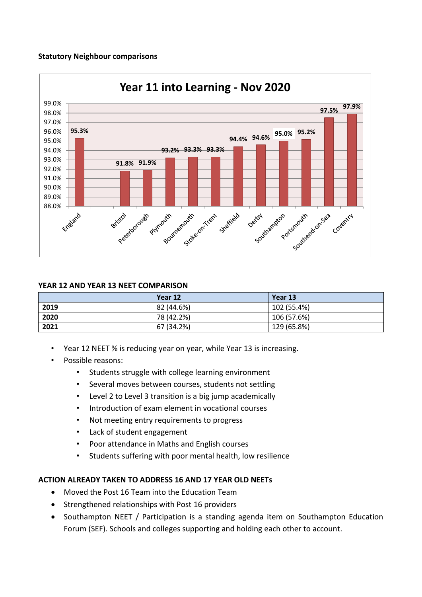### **Statutory Neighbour comparisons**



### **YEAR 12 AND YEAR 13 NEET COMPARISON**

|      | Year 12    | Year 13     |
|------|------------|-------------|
| 2019 | 82 (44.6%) | 102 (55.4%) |
| 2020 | 78 (42.2%) | 106 (57.6%) |
| 2021 | 67 (34.2%) | 129 (65.8%) |

- Year 12 NEET % is reducing year on year, while Year 13 is increasing.
- Possible reasons:
	- Students struggle with college learning environment
	- Several moves between courses, students not settling
	- Level 2 to Level 3 transition is a big jump academically
	- Introduction of exam element in vocational courses
	- Not meeting entry requirements to progress
	- Lack of student engagement
	- Poor attendance in Maths and English courses
	- Students suffering with poor mental health, low resilience

### **ACTION ALREADY TAKEN TO ADDRESS 16 AND 17 YEAR OLD NEETs**

- Moved the Post 16 Team into the Education Team
- Strengthened relationships with Post 16 providers
- Southampton NEET / Participation is a standing agenda item on Southampton Education Forum (SEF). Schools and colleges supporting and holding each other to account.